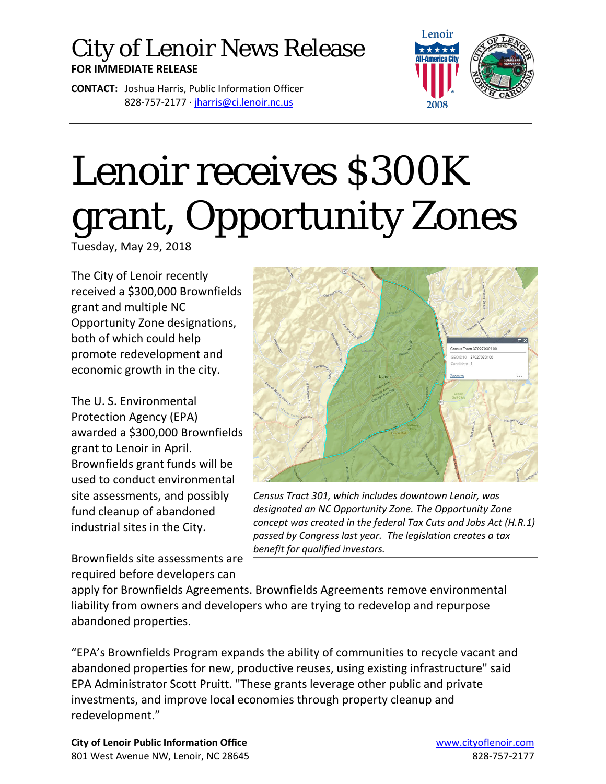## City of Lenoir News Release **FOR IMMEDIATE RELEASE**

**CONTACT:** Joshua Harris, Public Information Officer 828-757-2177 · [jharris@ci.lenoir.nc.us](mailto:jharris@ci.lenoir.nc.us)



## Lenoir receives \$300K grant, Opportunity Zones

Tuesday, May 29, 2018

The City of Lenoir recently received a \$300,000 Brownfields grant and multiple NC Opportunity Zone designations, both of which could help promote redevelopment and economic growth in the city.

The U. S. Environmental Protection Agency (EPA) awarded a \$300,000 Brownfields grant to Lenoir in April. Brownfields grant funds will be used to conduct environmental site assessments, and possibly fund cleanup of abandoned industrial sites in the City.

Brownfields site assessments are required before developers can



*Census Tract 301, which includes downtown Lenoir, was designated an NC Opportunity Zone. The Opportunity Zone concept was created in the federal Tax Cuts and Jobs Act (H.R.1) passed by Congress last year. The legislation creates a tax benefit for qualified investors.*

apply for Brownfields Agreements. Brownfields Agreements remove environmental liability from owners and developers who are trying to redevelop and repurpose abandoned properties.

"EPA's Brownfields Program expands the ability of communities to recycle vacant and abandoned properties for new, productive reuses, using existing infrastructure" said EPA Administrator Scott Pruitt. "These grants leverage other public and private investments, and improve local economies through property cleanup and redevelopment."